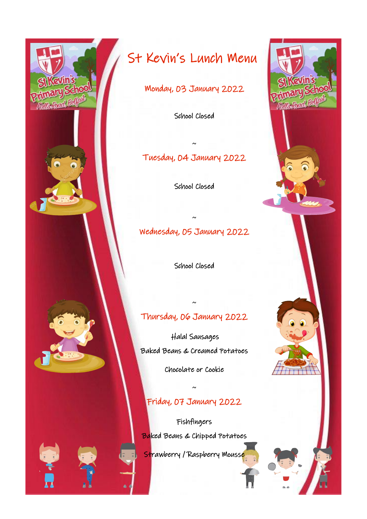

Monday, 03 January 2022

School Closed

## Tuesday, 04 January 2022

~

School Closed

## Wednesday, 05 January 2022

~

School Closed

## Thursday, 06 January 2022

~

 Halal Sausages Baked Beans & Creamed Potatoes

Chocolate or Cookie

## Friday, 07 January 2022

~

Fishfingers **Baked Beans & Chipped Potatoes** 

Strawberry / Raspberry Mousse

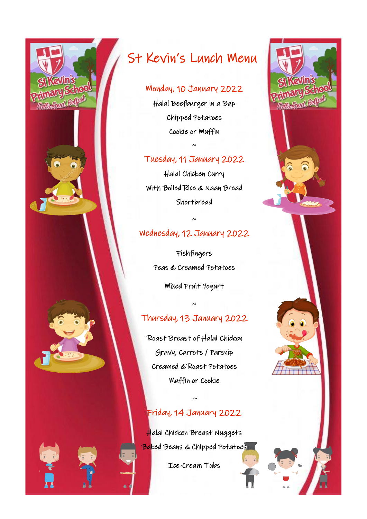

#### Monday, 10 January 2022

Halal Beefburger in a Bap Chipped Potatoes Cookie or Muffin

#### Tuesday, 11 January 2022

 $\sim$ 

Halal Chicken Curry With Boiled Rice & Naan Bread Shortbread

### Wednesday, 12 January 2022

~

Fishfingers Peas & Creamed Potatoes Mixed Fruit Yogurt

## ~

## Thursday, 13 January 2022

 Roast Breast of Halal Chicken Gravy, Carrots / Parsnip Creamed & Roast Potatoes Muffin or Cookie

## Friday, 14 January 2022

 $\sim$ 

Halal Chicken Breast Nuggets Baked Beans & Chipped Potatoes

Ice-Cream Tubs

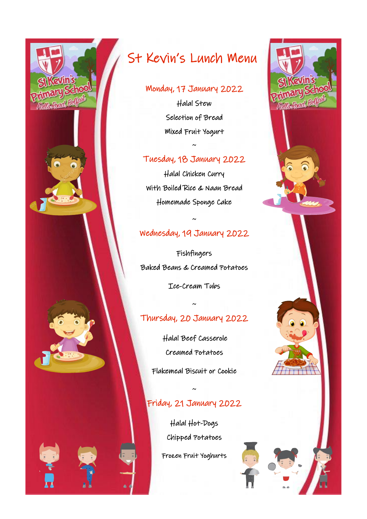

#### Monday, 17 January 2022

Halal Stew Selection of Bread Mixed Fruit Yogurt

#### Tuesday, 18 January 2022

 $\sim$ 

Halal Chicken Curry With Boiled Rice & Naan Bread Homemade Sponge Cake

#### Wednesday, 19 January 2022

~

Fishfingers Baked Beans & Creamed Potatoes

Ice-Cream Tubs

## Thursday, 20 January 2022

~

 Halal Beef Casserole Creamed Potatoes

Flakemeal Biscuit or Cookie

## Friday, 21 January 2022

~

Halal Hot-Dogs Chipped Potatoes

Frozen Fruit Yoghurts